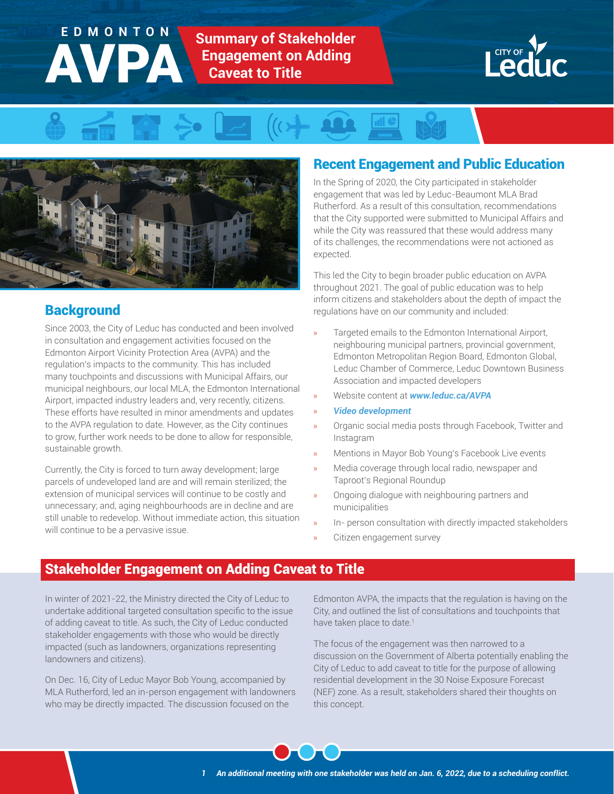# **Summary of Stakeholder Engagement on Adding Caveat to Title** EDMONTON







# **Background**

Since 2003, the City of Leduc has conducted and been involved in consultation and engagement activities focused on the Edmonton Airport Vicinity Protection Area (AVPA) and the regulation's impacts to the community. This has included many touchpoints and discussions with Municipal Affairs, our municipal neighbours, our local MLA, the Edmonton International Airport, impacted industry leaders and, very recently, citizens. These efforts have resulted in minor amendments and updates to the AVPA regulation to date. However, as the City continues to grow, further work needs to be done to allow for responsible, sustainable growth.

Currently, the City is forced to turn away development; large parcels of undeveloped land are and will remain sterilized; the extension of municipal services will continue to be costly and unnecessary; and, aging neighbourhoods are in decline and are still unable to redevelop. Without immediate action, this situation will continue to be a pervasive issue.

# Recent Engagement and Public Education

In the Spring of 2020, the City participated in stakeholder engagement that was led by Leduc-Beaumont MLA Brad Rutherford. As a result of this consultation, recommendations that the City supported were submitted to Municipal Affairs and while the City was reassured that these would address many of its challenges, the recommendations were not actioned as expected.

This led the City to begin broader public education on AVPA throughout 2021. The goal of public education was to help inform citizens and stakeholders about the depth of impact the regulations have on our community and included:

- » Targeted emails to the Edmonton International Airport, neighbouring municipal partners, provincial government, Edmonton Metropolitan Region Board, Edmonton Global, Leduc Chamber of Commerce, Leduc Downtown Business Association and impacted developers
- » Website content at *[www.leduc.ca/AVPA](https://www.leduc.ca/our-region/airport-vicinity-protection-area)*
- » *[Video development](https://youtu.be/kkfYuP6w5Fk)*
- » Organic social media posts through Facebook, Twitter and Instagram
- » Mentions in Mayor Bob Young's Facebook Live events
- » Media coverage through local radio, newspaper and Taproot's Regional Roundup
- » Ongoing dialogue with neighbouring partners and municipalities
- In- person consultation with directly impacted stakeholders
- » Citizen engagement survey

# Stakeholder Engagement on Adding Caveat to Title

In winter of 2021-22, the Ministry directed the City of Leduc to undertake additional targeted consultation specific to the issue of adding caveat to title. As such, the City of Leduc conducted stakeholder engagements with those who would be directly impacted (such as landowners, organizations representing landowners and citizens).

On Dec. 16, City of Leduc Mayor Bob Young, accompanied by MLA Rutherford, led an in-person engagement with landowners who may be directly impacted. The discussion focused on the

Edmonton AVPA, the impacts that the regulation is having on the City, and outlined the list of consultations and touchpoints that have taken place to date.<sup>1</sup>

The focus of the engagement was then narrowed to a discussion on the Government of Alberta potentially enabling the City of Leduc to add caveat to title for the purpose of allowing residential development in the 30 Noise Exposure Forecast (NEF) zone. As a result, stakeholders shared their thoughts on this concept.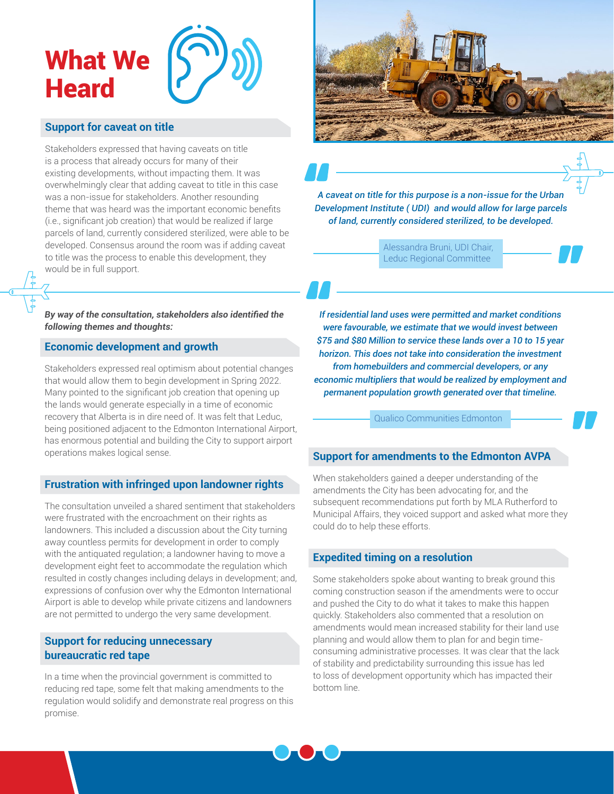

## **Support for caveat on title**

Stakeholders expressed that having caveats on title is a process that already occurs for many of their existing developments, without impacting them. It was overwhelmingly clear that adding caveat to title in this case was a non-issue for stakeholders. Another resounding theme that was heard was the important economic benefits (i.e., significant job creation) that would be realized if large parcels of land, currently considered sterilized, were able to be developed. Consensus around the room was if adding caveat to title was the process to enable this development, they would be in full support.

#### *By way of the consultation, stakeholders also identified the following themes and thoughts:*

## **Economic development and growth**

Stakeholders expressed real optimism about potential changes that would allow them to begin development in Spring 2022. Many pointed to the significant job creation that opening up the lands would generate especially in a time of economic recovery that Alberta is in dire need of. It was felt that Leduc, being positioned adjacent to the Edmonton International Airport, has enormous potential and building the City to support airport operations makes logical sense.

#### **Frustration with infringed upon landowner rights**

The consultation unveiled a shared sentiment that stakeholders were frustrated with the encroachment on their rights as landowners. This included a discussion about the City turning away countless permits for development in order to comply with the antiquated regulation; a landowner having to move a development eight feet to accommodate the regulation which resulted in costly changes including delays in development; and, expressions of confusion over why the Edmonton International Airport is able to develop while private citizens and landowners are not permitted to undergo the very same development.

### **Support for reducing unnecessary bureaucratic red tape**

In a time when the provincial government is committed to reducing red tape, some felt that making amendments to the regulation would solidify and demonstrate real progress on this promise.



*A caveat on title for this purpose is a non-issue for the Urban Development Institute ( UDI) and would allow for large parcels of land, currently considered sterilized, to be developed.*

> Alessandra Bruni, UDI Chair, Leduc Regional Committee

*If residential land uses were permitted and market conditions were favourable, we estimate that we would invest between \$75 and \$80 Million to service these lands over a 10 to 15 year horizon. This does not take into consideration the investment from homebuilders and commercial developers, or any economic multipliers that would be realized by employment and permanent population growth generated over that timeline.*

Qualico Communities Edmonton

#### **Support for amendments to the Edmonton AVPA**

When stakeholders gained a deeper understanding of the amendments the City has been advocating for, and the subsequent recommendations put forth by MLA Rutherford to Municipal Affairs, they voiced support and asked what more they could do to help these efforts.

#### **Expedited timing on a resolution**

Some stakeholders spoke about wanting to break ground this coming construction season if the amendments were to occur and pushed the City to do what it takes to make this happen quickly. Stakeholders also commented that a resolution on amendments would mean increased stability for their land use planning and would allow them to plan for and begin timeconsuming administrative processes. It was clear that the lack of stability and predictability surrounding this issue has led to loss of development opportunity which has impacted their bottom line.